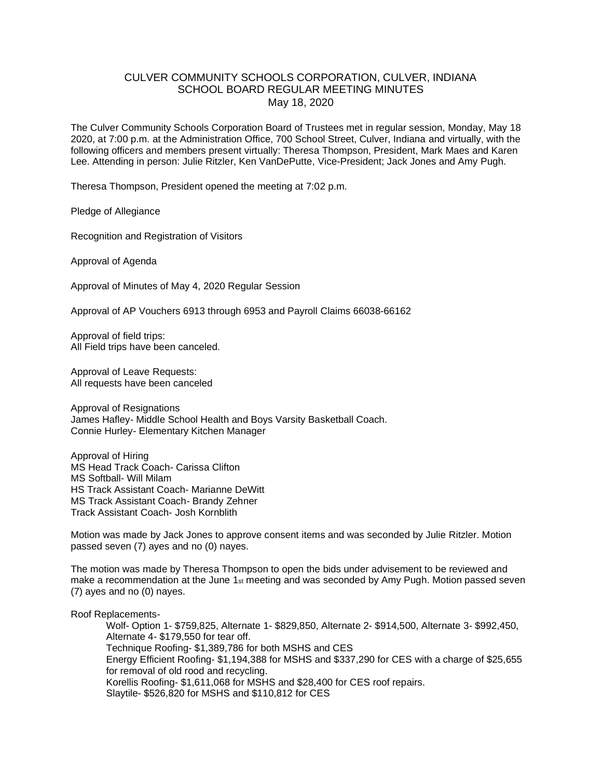# CULVER COMMUNITY SCHOOLS CORPORATION, CULVER, INDIANA SCHOOL BOARD REGULAR MEETING MINUTES May 18, 2020

The Culver Community Schools Corporation Board of Trustees met in regular session, Monday, May 18 2020, at 7:00 p.m. at the Administration Office, 700 School Street, Culver, Indiana and virtually, with the following officers and members present virtually: Theresa Thompson, President, Mark Maes and Karen Lee. Attending in person: Julie Ritzler, Ken VanDePutte, Vice-President; Jack Jones and Amy Pugh.

Theresa Thompson, President opened the meeting at 7:02 p.m.

Pledge of Allegiance

Recognition and Registration of Visitors

Approval of Agenda

Approval of Minutes of May 4, 2020 Regular Session

Approval of AP Vouchers 6913 through 6953 and Payroll Claims 66038-66162

Approval of field trips: All Field trips have been canceled.

Approval of Leave Requests: All requests have been canceled

Approval of Resignations James Hafley- Middle School Health and Boys Varsity Basketball Coach. Connie Hurley- Elementary Kitchen Manager

Approval of Hiring MS Head Track Coach- Carissa Clifton MS Softball- Will Milam HS Track Assistant Coach- Marianne DeWitt MS Track Assistant Coach- Brandy Zehner Track Assistant Coach- Josh Kornblith

Motion was made by Jack Jones to approve consent items and was seconded by Julie Ritzler. Motion passed seven (7) ayes and no (0) nayes.

The motion was made by Theresa Thompson to open the bids under advisement to be reviewed and make a recommendation at the June  $1_{st}$  meeting and was seconded by Amy Pugh. Motion passed seven (7) ayes and no (0) nayes.

Roof Replacements-

Wolf- Option 1- \$759,825, Alternate 1- \$829,850, Alternate 2- \$914,500, Alternate 3- \$992,450, Alternate 4- \$179,550 for tear off. Technique Roofing- \$1,389,786 for both MSHS and CES Energy Efficient Roofing- \$1,194,388 for MSHS and \$337,290 for CES with a charge of \$25,655 for removal of old rood and recycling. Korellis Roofing- \$1,611,068 for MSHS and \$28,400 for CES roof repairs. Slaytile- \$526,820 for MSHS and \$110,812 for CES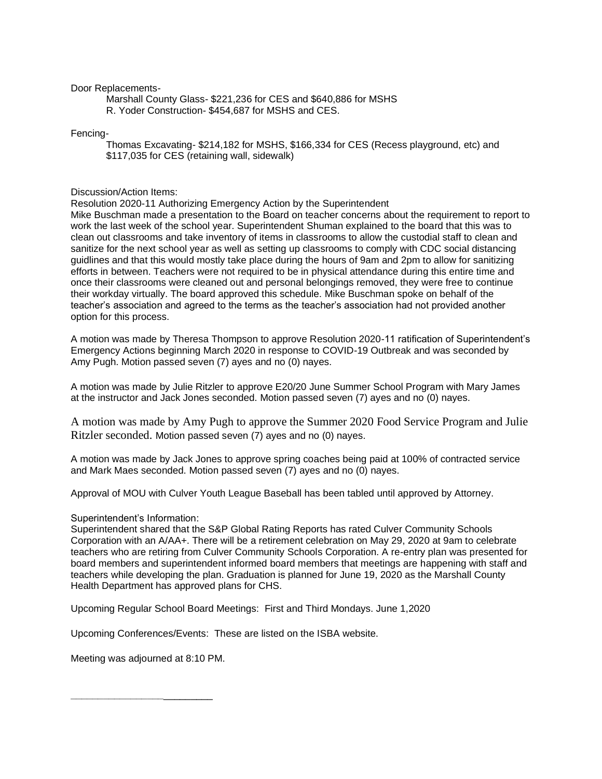## Door Replacements-

Marshall County Glass- \$221,236 for CES and \$640,886 for MSHS R. Yoder Construction- \$454,687 for MSHS and CES.

## Fencing-

Thomas Excavating- \$214,182 for MSHS, \$166,334 for CES (Recess playground, etc) and \$117,035 for CES (retaining wall, sidewalk)

#### Discussion/Action Items:

Resolution 2020-11 Authorizing Emergency Action by the Superintendent

Mike Buschman made a presentation to the Board on teacher concerns about the requirement to report to work the last week of the school year. Superintendent Shuman explained to the board that this was to clean out classrooms and take inventory of items in classrooms to allow the custodial staff to clean and sanitize for the next school year as well as setting up classrooms to comply with CDC social distancing guidlines and that this would mostly take place during the hours of 9am and 2pm to allow for sanitizing efforts in between. Teachers were not required to be in physical attendance during this entire time and once their classrooms were cleaned out and personal belongings removed, they were free to continue their workday virtually. The board approved this schedule. Mike Buschman spoke on behalf of the teacher's association and agreed to the terms as the teacher's association had not provided another option for this process.

A motion was made by Theresa Thompson to approve Resolution 2020-11 ratification of Superintendent's Emergency Actions beginning March 2020 in response to COVID-19 Outbreak and was seconded by Amy Pugh. Motion passed seven (7) ayes and no (0) nayes.

A motion was made by Julie Ritzler to approve E20/20 June Summer School Program with Mary James at the instructor and Jack Jones seconded. Motion passed seven (7) ayes and no (0) nayes.

A motion was made by Amy Pugh to approve the Summer 2020 Food Service Program and Julie Ritzler seconded. Motion passed seven (7) ayes and no (0) nayes.

A motion was made by Jack Jones to approve spring coaches being paid at 100% of contracted service and Mark Maes seconded. Motion passed seven (7) ayes and no (0) nayes.

Approval of MOU with Culver Youth League Baseball has been tabled until approved by Attorney.

#### Superintendent's Information:

Superintendent shared that the S&P Global Rating Reports has rated Culver Community Schools Corporation with an A/AA+. There will be a retirement celebration on May 29, 2020 at 9am to celebrate teachers who are retiring from Culver Community Schools Corporation. A re-entry plan was presented for board members and superintendent informed board members that meetings are happening with staff and teachers while developing the plan. Graduation is planned for June 19, 2020 as the Marshall County Health Department has approved plans for CHS.

Upcoming Regular School Board Meetings: First and Third Mondays. June 1,2020

Upcoming Conferences/Events: These are listed on the ISBA website.

Meeting was adjourned at 8:10 PM.

**\_\_\_\_\_\_\_\_\_\_\_\_\_\_\_\_\_**\_\_\_\_\_\_\_\_\_